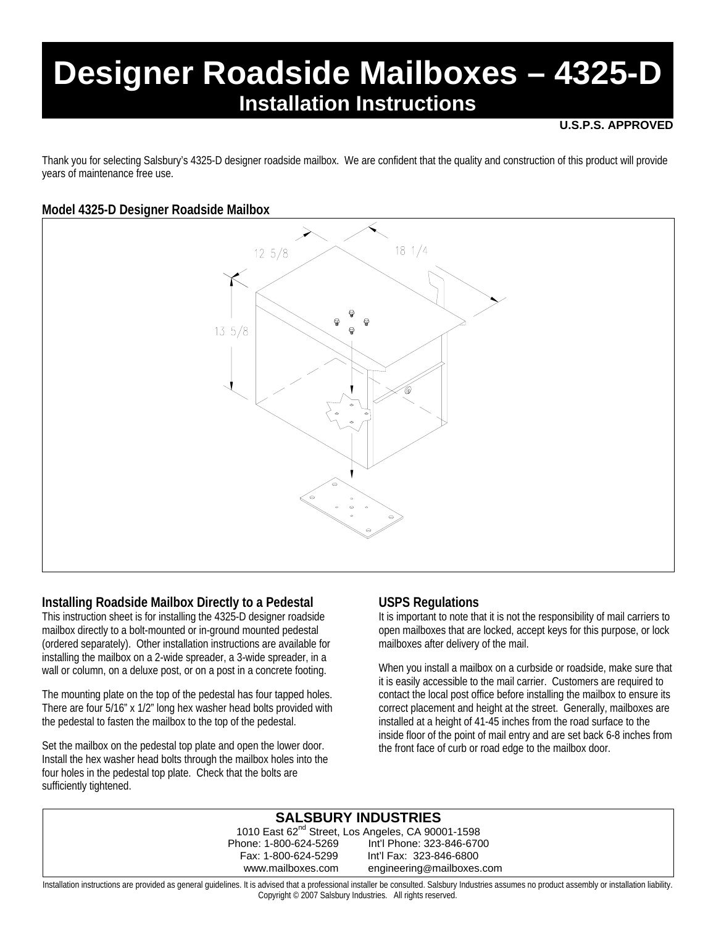# **Designer Roadside Mailboxes – 4325-D Installation Instructions**

#### **U.S.P.S. APPROVED**

Thank you for selecting Salsbury's 4325-D designer roadside mailbox. We are confident that the quality and construction of this product will provide years of maintenance free use.

### **Model 4325-D Designer Roadside Mailbox**



### **Installing Roadside Mailbox Directly to a Pedestal**

This instruction sheet is for installing the 4325-D designer roadside mailbox directly to a bolt-mounted or in-ground mounted pedestal (ordered separately). Other installation instructions are available for installing the mailbox on a 2-wide spreader, a 3-wide spreader, in a wall or column, on a deluxe post, or on a post in a concrete footing.

The mounting plate on the top of the pedestal has four tapped holes. There are four 5/16" x 1/2" long hex washer head bolts provided with the pedestal to fasten the mailbox to the top of the pedestal.

Set the mailbox on the pedestal top plate and open the lower door. Install the hex washer head bolts through the mailbox holes into the four holes in the pedestal top plate. Check that the bolts are sufficiently tightened.

### **USPS Regulations**

It is important to note that it is not the responsibility of mail carriers to open mailboxes that are locked, accept keys for this purpose, or lock mailboxes after delivery of the mail.

When you install a mailbox on a curbside or roadside, make sure that it is easily accessible to the mail carrier. Customers are required to contact the local post office before installing the mailbox to ensure its correct placement and height at the street. Generally, mailboxes are installed at a height of 41-45 inches from the road surface to the inside floor of the point of mail entry and are set back 6-8 inches from the front face of curb or road edge to the mailbox door.

#### **SALSBURY INDUSTRIES** 1010 East 62<sup>nd</sup> Street, Los Angeles, CA 90001-1598 Phone: 1-800-624-5269 Int'l Phone: 323-846-6700 Fax: 1-800-624-5299 Int'l Fax: 323-846-6800 www.mailboxes.com engineering@mailboxes.com Installation instructions are provided as general guidelines. It is advised that a professional installer be consulted. Salsbury Industries assumes no product assembly or installation liability.

Copyright © 2007 Salsbury Industries. All rights reserved.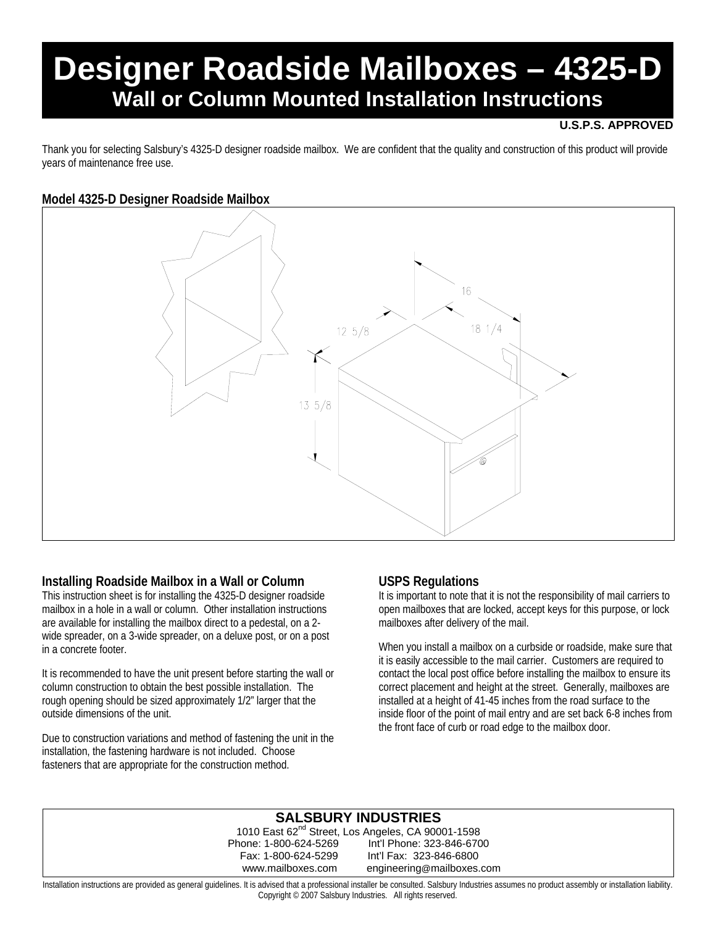# **Designer Roadside Mailboxes – 4325-D Wall or Column Mounted Installation Instructions**

### **U.S.P.S. APPROVED**

Thank you for selecting Salsbury's 4325-D designer roadside mailbox. We are confident that the quality and construction of this product will provide years of maintenance free use.

### **Model 4325-D Designer Roadside Mailbox**



### **Installing Roadside Mailbox in a Wall or Column**

This instruction sheet is for installing the 4325-D designer roadside mailbox in a hole in a wall or column. Other installation instructions are available for installing the mailbox direct to a pedestal, on a 2 wide spreader, on a 3-wide spreader, on a deluxe post, or on a post in a concrete footer.

It is recommended to have the unit present before starting the wall or column construction to obtain the best possible installation. The rough opening should be sized approximately 1/2" larger that the outside dimensions of the unit.

Due to construction variations and method of fastening the unit in the installation, the fastening hardware is not included. Choose fasteners that are appropriate for the construction method.

### **USPS Regulations**

It is important to note that it is not the responsibility of mail carriers to open mailboxes that are locked, accept keys for this purpose, or lock mailboxes after delivery of the mail.

When you install a mailbox on a curbside or roadside, make sure that it is easily accessible to the mail carrier. Customers are required to contact the local post office before installing the mailbox to ensure its correct placement and height at the street. Generally, mailboxes are installed at a height of 41-45 inches from the road surface to the inside floor of the point of mail entry and are set back 6-8 inches from the front face of curb or road edge to the mailbox door.

### **SALSBURY INDUSTRIES**

1010 East 62<sup>nd</sup> Street, Los Angeles, CA 90001-1598 Phone: 1-800-624-5269 Int'l Phone: 323-846-6700 Int'l Fax: 323-846-6800 www.mailboxes.com engineering@mailboxes.com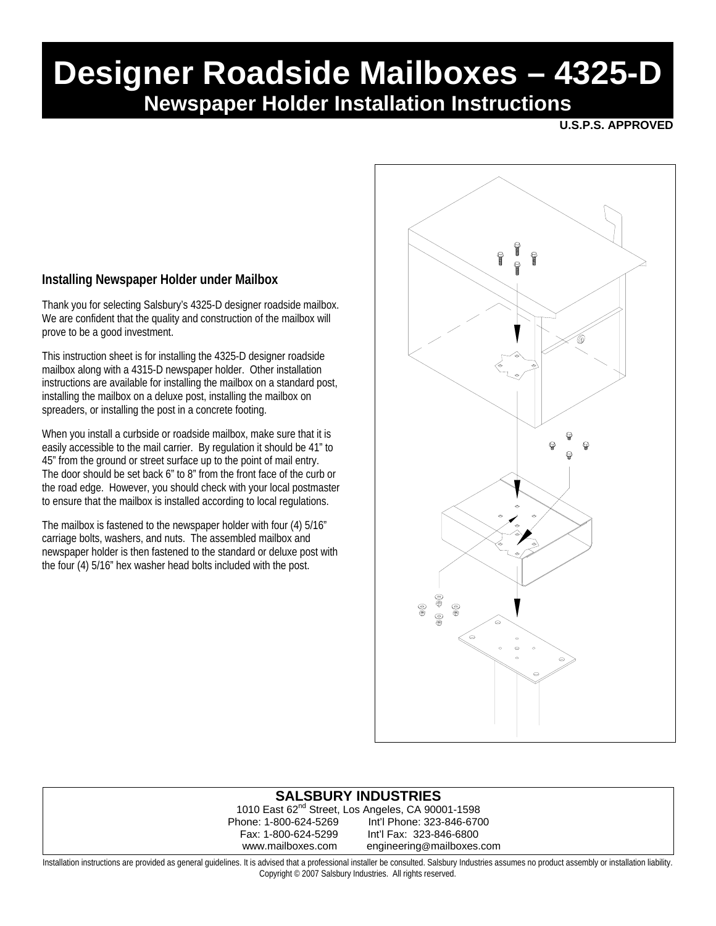# **Designer Roadside Mailboxes – 4325-D Newspaper Holder Installation Instructions**

**U.S.P.S. APPROVED** 

## **Installing Newspaper Holder under Mailbox**

Thank you for selecting Salsbury's 4325-D designer roadside mailbox. We are confident that the quality and construction of the mailbox will prove to be a good investment.

This instruction sheet is for installing the 4325-D designer roadside mailbox along with a 4315-D newspaper holder. Other installation instructions are available for installing the mailbox on a standard post, installing the mailbox on a deluxe post, installing the mailbox on spreaders, or installing the post in a concrete footing.

When you install a curbside or roadside mailbox, make sure that it is easily accessible to the mail carrier. By regulation it should be 41" to 45" from the ground or street surface up to the point of mail entry. The door should be set back 6" to 8" from the front face of the curb or the road edge. However, you should check with your local postmaster to ensure that the mailbox is installed according to local regulations.

The mailbox is fastened to the newspaper holder with four (4) 5/16" carriage bolts, washers, and nuts. The assembled mailbox and newspaper holder is then fastened to the standard or deluxe post with the four (4) 5/16" hex washer head bolts included with the post.



### **SALSBURY INDUSTRIES**

1010 East 62nd Street, Los Angeles, CA 90001-1598 Int'l Phone: 323-846-6700 Fax: 1-800-624-5299 Int'l Fax: 323-846-6800 www.mailboxes.com engineering@mailboxes.com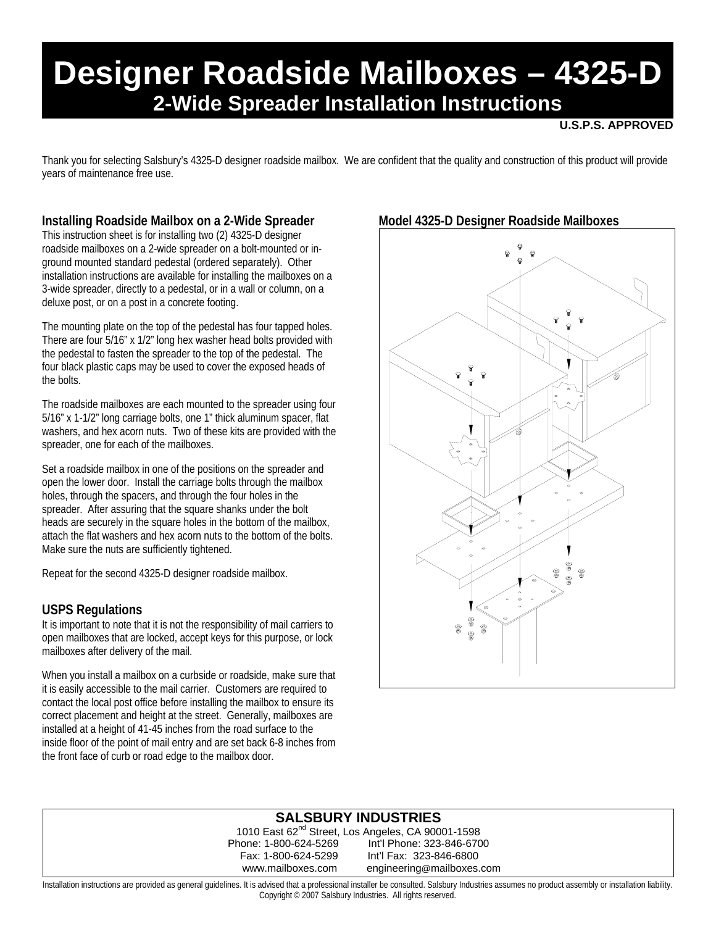# **Designer Roadside Mailboxes – 4325-D 2-Wide Spreader Installation Instructions**

#### **U.S.P.S. APPROVED**

Thank you for selecting Salsbury's 4325-D designer roadside mailbox. We are confident that the quality and construction of this product will provide years of maintenance free use.

## **Installing Roadside Mailbox on a 2-Wide Spreader**

This instruction sheet is for installing two (2) 4325-D designer roadside mailboxes on a 2-wide spreader on a bolt-mounted or inground mounted standard pedestal (ordered separately). Other installation instructions are available for installing the mailboxes on a 3-wide spreader, directly to a pedestal, or in a wall or column, on a deluxe post, or on a post in a concrete footing.

The mounting plate on the top of the pedestal has four tapped holes. There are four 5/16" x 1/2" long hex washer head bolts provided with the pedestal to fasten the spreader to the top of the pedestal. The four black plastic caps may be used to cover the exposed heads of the bolts.

The roadside mailboxes are each mounted to the spreader using four 5/16" x 1-1/2" long carriage bolts, one 1" thick aluminum spacer, flat washers, and hex acorn nuts. Two of these kits are provided with the spreader, one for each of the mailboxes.

Set a roadside mailbox in one of the positions on the spreader and open the lower door. Install the carriage bolts through the mailbox holes, through the spacers, and through the four holes in the spreader. After assuring that the square shanks under the bolt heads are securely in the square holes in the bottom of the mailbox, attach the flat washers and hex acorn nuts to the bottom of the bolts. Make sure the nuts are sufficiently tightened.

Repeat for the second 4325-D designer roadside mailbox.

### **USPS Regulations**

It is important to note that it is not the responsibility of mail carriers to open mailboxes that are locked, accept keys for this purpose, or lock mailboxes after delivery of the mail.

When you install a mailbox on a curbside or roadside, make sure that it is easily accessible to the mail carrier. Customers are required to contact the local post office before installing the mailbox to ensure its correct placement and height at the street. Generally, mailboxes are installed at a height of 41-45 inches from the road surface to the inside floor of the point of mail entry and are set back 6-8 inches from the front face of curb or road edge to the mailbox door.

## **Model 4325-D Designer Roadside Mailboxes**



### **SALSBURY INDUSTRIES**

1010 East 62<sup>nd</sup> Street, Los Angeles, CA 90001-1598 Phone: 1-800-624-5269 Int'l Phone: 323-846-6700 Fax: 1-800-624-5299 Int'l Fax: 323-846-6800 www.mailboxes.com engineering@mailboxes.com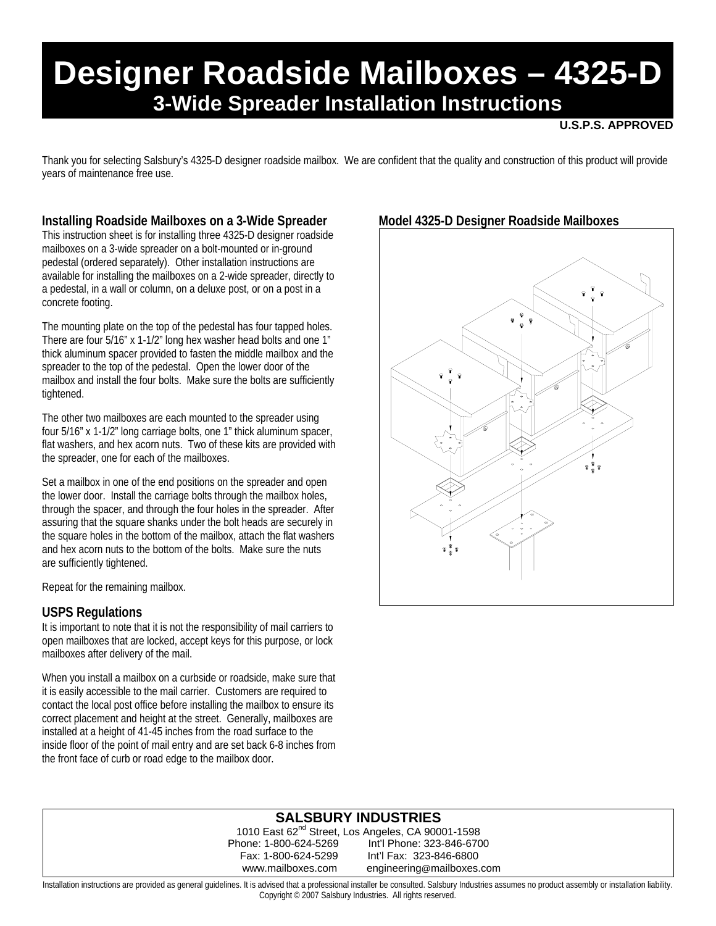# **Designer Roadside Mailboxes – 4325-D 3-Wide Spreader Installation Instructions**

#### **U.S.P.S. APPROVED**

Thank you for selecting Salsbury's 4325-D designer roadside mailbox. We are confident that the quality and construction of this product will provide years of maintenance free use.

### **Installing Roadside Mailboxes on a 3-Wide Spreader**

This instruction sheet is for installing three 4325-D designer roadside mailboxes on a 3-wide spreader on a bolt-mounted or in-ground pedestal (ordered separately). Other installation instructions are available for installing the mailboxes on a 2-wide spreader, directly to a pedestal, in a wall or column, on a deluxe post, or on a post in a concrete footing.

The mounting plate on the top of the pedestal has four tapped holes. There are four 5/16" x 1-1/2" long hex washer head bolts and one 1" thick aluminum spacer provided to fasten the middle mailbox and the spreader to the top of the pedestal. Open the lower door of the mailbox and install the four bolts. Make sure the bolts are sufficiently tightened.

The other two mailboxes are each mounted to the spreader using four 5/16" x 1-1/2" long carriage bolts, one 1" thick aluminum spacer, flat washers, and hex acorn nuts. Two of these kits are provided with the spreader, one for each of the mailboxes.

Set a mailbox in one of the end positions on the spreader and open the lower door. Install the carriage bolts through the mailbox holes, through the spacer, and through the four holes in the spreader. After assuring that the square shanks under the bolt heads are securely in the square holes in the bottom of the mailbox, attach the flat washers and hex acorn nuts to the bottom of the bolts. Make sure the nuts are sufficiently tightened.

Repeat for the remaining mailbox.

### **USPS Regulations**

It is important to note that it is not the responsibility of mail carriers to open mailboxes that are locked, accept keys for this purpose, or lock mailboxes after delivery of the mail.

When you install a mailbox on a curbside or roadside, make sure that it is easily accessible to the mail carrier. Customers are required to contact the local post office before installing the mailbox to ensure its correct placement and height at the street. Generally, mailboxes are installed at a height of 41-45 inches from the road surface to the inside floor of the point of mail entry and are set back 6-8 inches from the front face of curb or road edge to the mailbox door.

## **Model 4325-D Designer Roadside Mailboxes**



## **SALSBURY INDUSTRIES**

1010 East 62<sup>nd</sup> Street, Los Angeles, CA 90001-1598 Phone: 1-800-624-5269 Int'l Phone: 323-846-6700 Int'l Fax: 323-846-6800 www.mailboxes.com engineering@mailboxes.com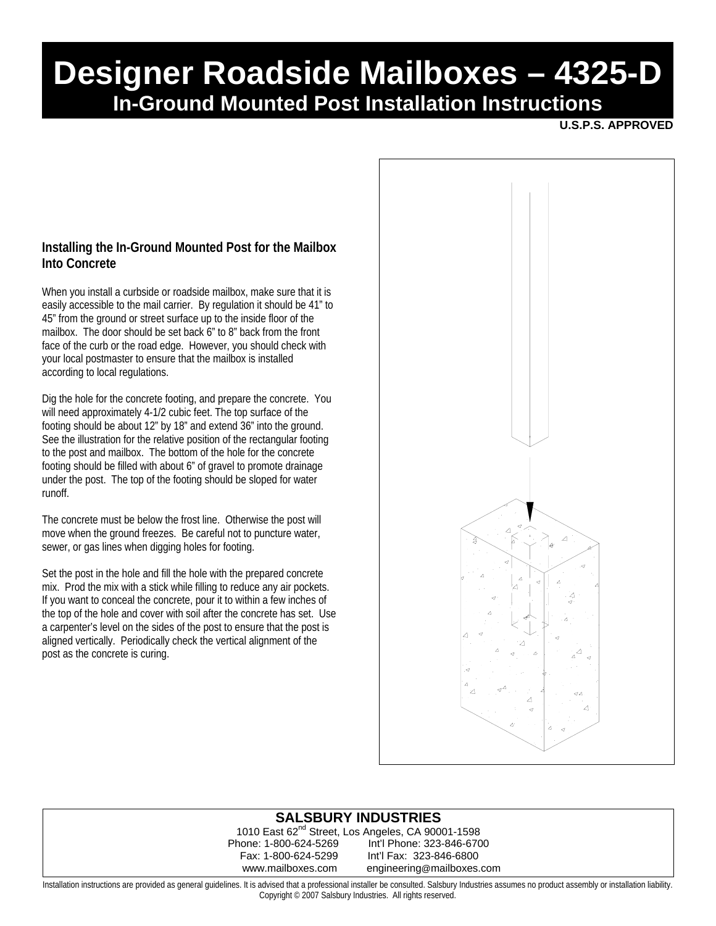# **Designer Roadside Mailboxes – 4325-D In-Ground Mounted Post Installation Instructions**

**U.S.P.S. APPROVED** 

### **Installing the In-Ground Mounted Post for the Mailbox Into Concrete**

When you install a curbside or roadside mailbox, make sure that it is easily accessible to the mail carrier. By regulation it should be 41" to 45" from the ground or street surface up to the inside floor of the mailbox. The door should be set back 6" to 8" back from the front face of the curb or the road edge. However, you should check with your local postmaster to ensure that the mailbox is installed according to local regulations.

Dig the hole for the concrete footing, and prepare the concrete. You will need approximately 4-1/2 cubic feet. The top surface of the footing should be about 12" by 18" and extend 36" into the ground. See the illustration for the relative position of the rectangular footing to the post and mailbox. The bottom of the hole for the concrete footing should be filled with about 6" of gravel to promote drainage under the post. The top of the footing should be sloped for water runoff.

The concrete must be below the frost line. Otherwise the post will move when the ground freezes. Be careful not to puncture water, sewer, or gas lines when digging holes for footing.

Set the post in the hole and fill the hole with the prepared concrete mix. Prod the mix with a stick while filling to reduce any air pockets. If you want to conceal the concrete, pour it to within a few inches of the top of the hole and cover with soil after the concrete has set. Use a carpenter's level on the sides of the post to ensure that the post is aligned vertically. Periodically check the vertical alignment of the post as the concrete is curing.



### **SALSBURY INDUSTRIES**

1010 East 62<sup>nd</sup> Street, Los Angeles, CA 90001-1598 Phone: 1-800-624-5269 Int'l Phone: 323-846-6700 Fax: 1-800-624-5299 Int'l Fax: 323-846-6800 www.mailboxes.com engineering@mailboxes.com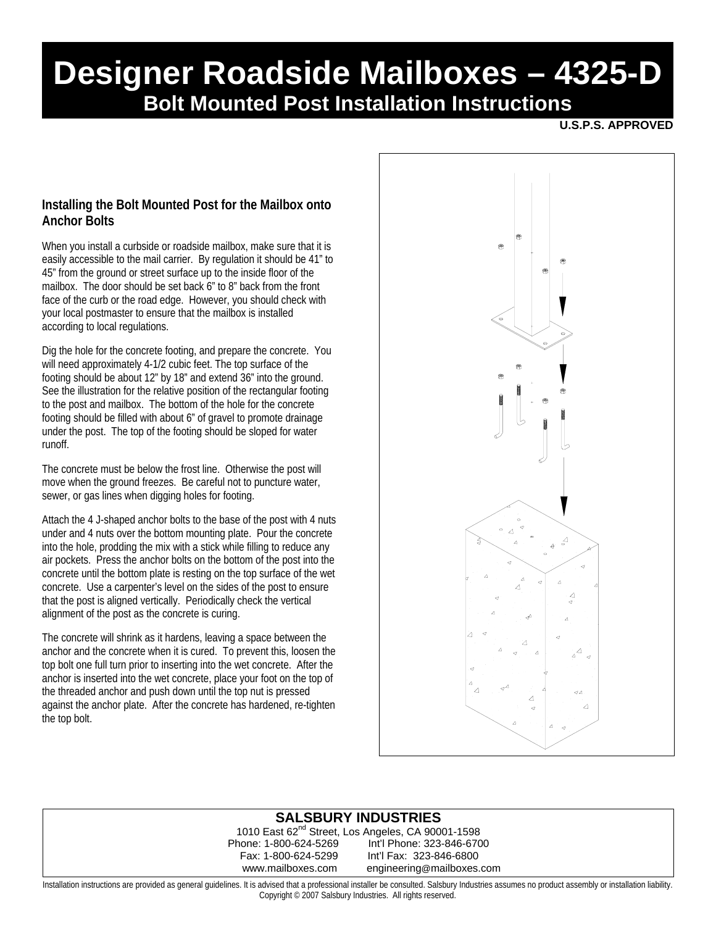# **Designer Roadside Mailboxes – 4325-D Bolt Mounted Post Installation Instructions**

**U.S.P.S. APPROVED**

### **Installing the Bolt Mounted Post for the Mailbox onto Anchor Bolts**

When you install a curbside or roadside mailbox, make sure that it is easily accessible to the mail carrier. By regulation it should be 41" to 45" from the ground or street surface up to the inside floor of the mailbox. The door should be set back 6" to 8" back from the front face of the curb or the road edge. However, you should check with your local postmaster to ensure that the mailbox is installed according to local regulations.

Dig the hole for the concrete footing, and prepare the concrete. You will need approximately 4-1/2 cubic feet. The top surface of the footing should be about 12" by 18" and extend 36" into the ground. See the illustration for the relative position of the rectangular footing to the post and mailbox. The bottom of the hole for the concrete footing should be filled with about 6" of gravel to promote drainage under the post. The top of the footing should be sloped for water runoff.

The concrete must be below the frost line. Otherwise the post will move when the ground freezes. Be careful not to puncture water, sewer, or gas lines when digging holes for footing.

Attach the 4 J-shaped anchor bolts to the base of the post with 4 nuts under and 4 nuts over the bottom mounting plate. Pour the concrete into the hole, prodding the mix with a stick while filling to reduce any air pockets. Press the anchor bolts on the bottom of the post into the concrete until the bottom plate is resting on the top surface of the wet concrete. Use a carpenter's level on the sides of the post to ensure that the post is aligned vertically. Periodically check the vertical alignment of the post as the concrete is curing.

The concrete will shrink as it hardens, leaving a space between the anchor and the concrete when it is cured. To prevent this, loosen the top bolt one full turn prior to inserting into the wet concrete. After the anchor is inserted into the wet concrete, place your foot on the top of the threaded anchor and push down until the top nut is pressed against the anchor plate. After the concrete has hardened, re-tighten the top bolt.



## **SALSBURY INDUSTRIES**

1010 East 62<sup>nd</sup> Street, Los Angeles, CA 90001-1598 Phone: 1-800-624-5269 Int'l Phone: 323-846-6700 Fax: 1-800-624-5299 Int'l Fax: 323-846-6800 www.mailboxes.com engineering@mailboxes.com